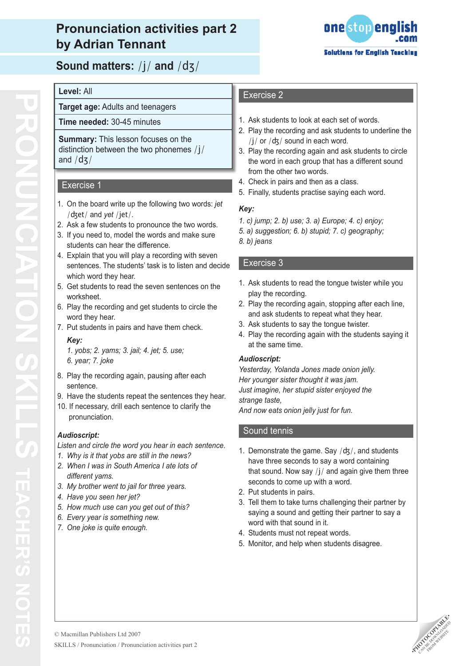# **Pronunciation activities part 2 by Adrian Tennant**



**Sound matters:** /j/ **and** /dʒ/

## **Level:** All

**Target age:** Adults and teenagers

**Time needed:** 30-45 minutes

**Summary:** This lesson focuses on the distinction between the two phonemes /j/ and /dʒ/

## Exercise 1

- 1. On the board write up the following two words: *jet* /ʤet/ and *yet* /jet/.
- 2. Ask a few students to pronounce the two words.
- 3. If you need to, model the words and make sure students can hear the difference.
- 4. Explain that you will play a recording with seven sentences. The students' task is to listen and decide which word they hear.
- 5. Get students to read the seven sentences on the worksheet.
- 6. Play the recording and get students to circle the word they hear.
- 7. Put students in pairs and have them check. *Key:*
	- *1. yobs; 2. yams; 3. jail; 4. jet; 5. use; 6. year; 7. joke*
- 8. Play the recording again, pausing after each sentence.
- 9. Have the students repeat the sentences they hear.
- 10. If necessary, drill each sentence to clarify the pronunciation.

## *Audioscript:*

*Listen and circle the word you hear in each sentence.*

- *1. Why is it that yobs are still in the news?*
- *2. When I was in South America I ate lots of different yams.*
- *3. My brother went to jail for three years.*
- *4. Have you seen her jet?*
- *5. How much use can you get out of this?*
- *6. Every year is something new.*
- *7. One joke is quite enough.*

# Exercise 2

- 1. Ask students to look at each set of words.
- 2. Play the recording and ask students to underline the  $/j/$  or  $/dz/$  sound in each word.
- 3. Play the recording again and ask students to circle the word in each group that has a different sound from the other two words.
- 4. Check in pairs and then as a class.
- 5. Finally, students practise saying each word.

## *Key:*

- *1. c) jump; 2. b) use; 3. a) Europe; 4. c) enjoy;*
- *5. a) suggestion; 6. b) stupid; 7. c) geography;*
- *8. b) jeans*

## Exercise 3

- 1. Ask students to read the tongue twister while you play the recording.
- 2. Play the recording again, stopping after each line, and ask students to repeat what they hear.
- 3. Ask students to say the tongue twister.
- 4. Play the recording again with the students saying it at the same time.

#### *Audioscript:*

*Yesterday, Yolanda Jones made onion jelly. Her younger sister thought it was jam. Just imagine, her stupid sister enjoyed the strange taste,*

*And now eats onion jelly just for fun.*

## Sound tennis

- 1. Demonstrate the game. Say  $/dz/$ , and students have three seconds to say a word containing that sound. Now say  $/j/$  and again give them three seconds to come up with a word.
- 2. Put students in pairs.
- 3. Tell them to take turns challenging their partner by saying a sound and getting their partner to say a word with that sound in it.
- 4. Students must not repeat words.
- 5. Monitor, and help when students disagree.